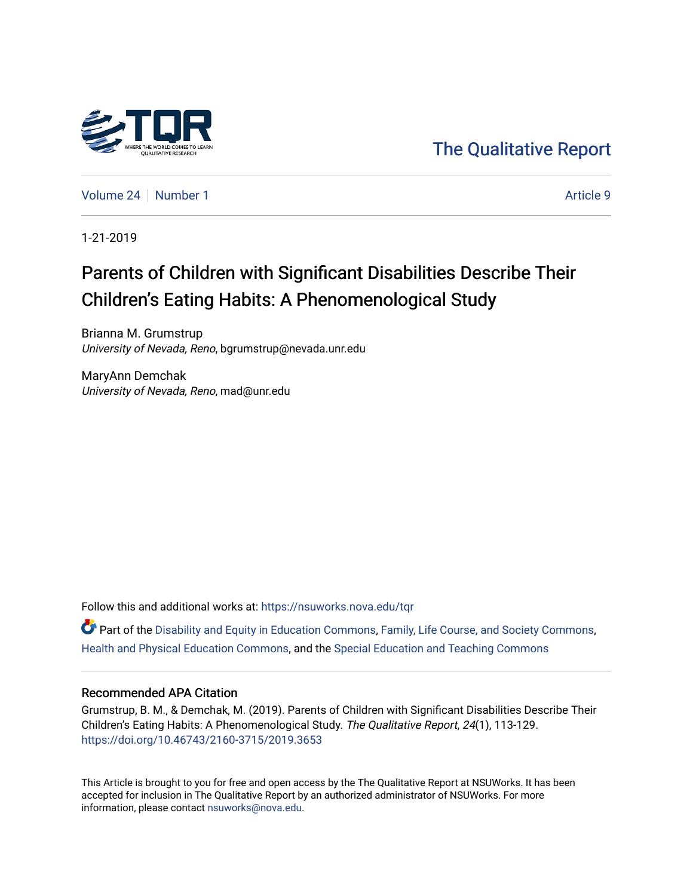

[The Qualitative Report](https://nsuworks.nova.edu/tqr) 

[Volume 24](https://nsuworks.nova.edu/tqr/vol24) | [Number 1](https://nsuworks.nova.edu/tqr/vol24/iss1) Article 9

1-21-2019

## Parents of Children with Significant Disabilities Describe Their Children's Eating Habits: A Phenomenological Study

Brianna M. Grumstrup University of Nevada, Reno, bgrumstrup@nevada.unr.edu

MaryAnn Demchak University of Nevada, Reno, mad@unr.edu

Follow this and additional works at: [https://nsuworks.nova.edu/tqr](https://nsuworks.nova.edu/tqr?utm_source=nsuworks.nova.edu%2Ftqr%2Fvol24%2Fiss1%2F9&utm_medium=PDF&utm_campaign=PDFCoverPages) 

Part of the [Disability and Equity in Education Commons](http://network.bepress.com/hgg/discipline/1040?utm_source=nsuworks.nova.edu%2Ftqr%2Fvol24%2Fiss1%2F9&utm_medium=PDF&utm_campaign=PDFCoverPages), [Family, Life Course, and Society Commons,](http://network.bepress.com/hgg/discipline/419?utm_source=nsuworks.nova.edu%2Ftqr%2Fvol24%2Fiss1%2F9&utm_medium=PDF&utm_campaign=PDFCoverPages) [Health and Physical Education Commons](http://network.bepress.com/hgg/discipline/1327?utm_source=nsuworks.nova.edu%2Ftqr%2Fvol24%2Fiss1%2F9&utm_medium=PDF&utm_campaign=PDFCoverPages), and the [Special Education and Teaching Commons](http://network.bepress.com/hgg/discipline/801?utm_source=nsuworks.nova.edu%2Ftqr%2Fvol24%2Fiss1%2F9&utm_medium=PDF&utm_campaign=PDFCoverPages)

#### Recommended APA Citation

Grumstrup, B. M., & Demchak, M. (2019). Parents of Children with Significant Disabilities Describe Their Children's Eating Habits: A Phenomenological Study. The Qualitative Report, 24(1), 113-129. <https://doi.org/10.46743/2160-3715/2019.3653>

This Article is brought to you for free and open access by the The Qualitative Report at NSUWorks. It has been accepted for inclusion in The Qualitative Report by an authorized administrator of NSUWorks. For more information, please contact [nsuworks@nova.edu.](mailto:nsuworks@nova.edu)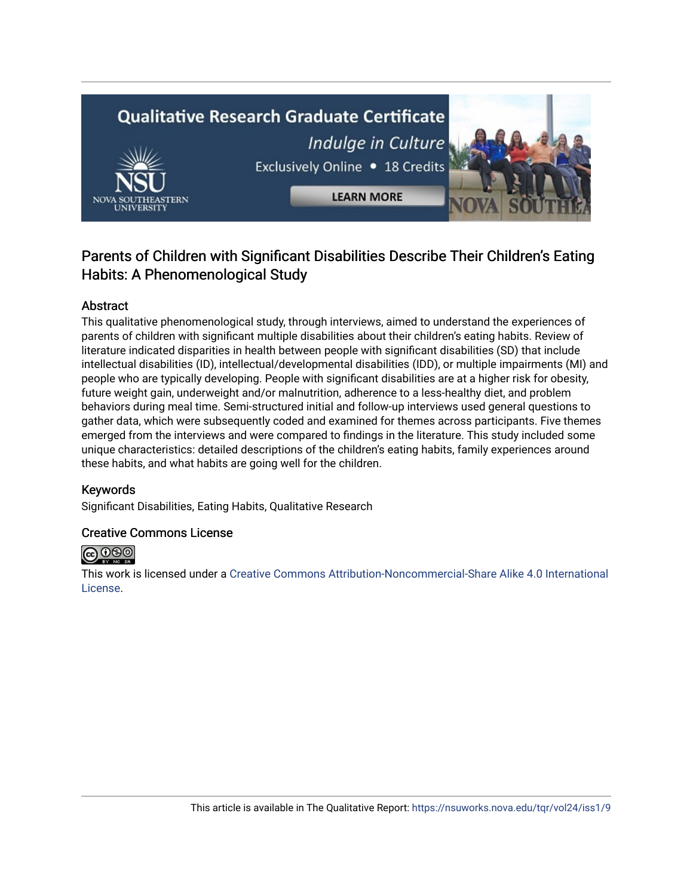# **Qualitative Research Graduate Certificate** Indulge in Culture Exclusively Online . 18 Credits **LEARN MORE**

### Parents of Children with Significant Disabilities Describe Their Children's Eating Habits: A Phenomenological Study

#### Abstract

This qualitative phenomenological study, through interviews, aimed to understand the experiences of parents of children with significant multiple disabilities about their children's eating habits. Review of literature indicated disparities in health between people with significant disabilities (SD) that include intellectual disabilities (ID), intellectual/developmental disabilities (IDD), or multiple impairments (MI) and people who are typically developing. People with significant disabilities are at a higher risk for obesity, future weight gain, underweight and/or malnutrition, adherence to a less-healthy diet, and problem behaviors during meal time. Semi-structured initial and follow-up interviews used general questions to gather data, which were subsequently coded and examined for themes across participants. Five themes emerged from the interviews and were compared to findings in the literature. This study included some unique characteristics: detailed descriptions of the children's eating habits, family experiences around these habits, and what habits are going well for the children.

#### Keywords

Significant Disabilities, Eating Habits, Qualitative Research

#### Creative Commons License



This work is licensed under a [Creative Commons Attribution-Noncommercial-Share Alike 4.0 International](https://creativecommons.org/licenses/by-nc-sa/4.0/)  [License](https://creativecommons.org/licenses/by-nc-sa/4.0/).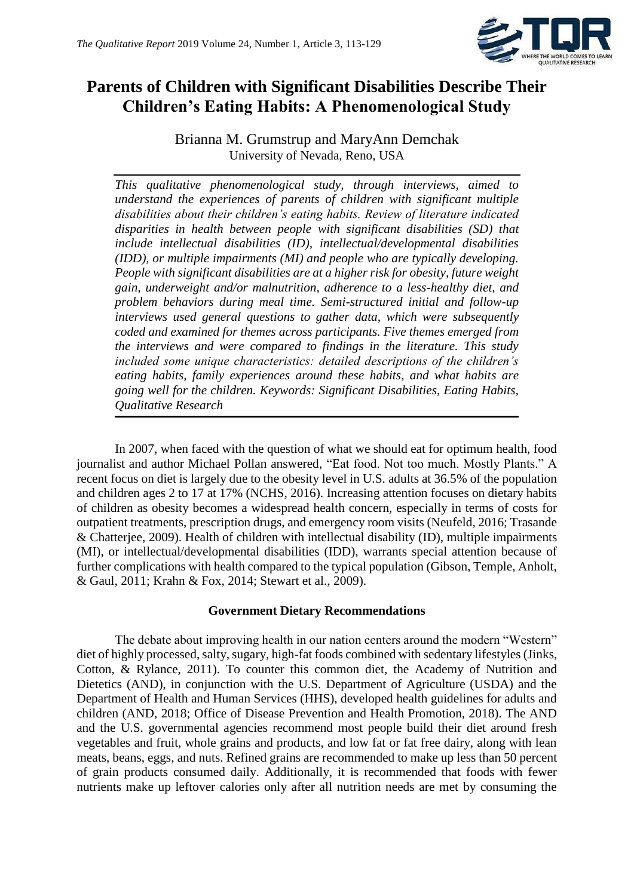

## **Parents of Children with Significant Disabilities Describe Their Children's Eating Habits: A Phenomenological Study**

Brianna M. Grumstrup and MaryAnn Demchak University of Nevada, Reno, USA

*This qualitative phenomenological study, through interviews, aimed to understand the experiences of parents of children with significant multiple disabilities about their children's eating habits. Review of literature indicated disparities in health between people with significant disabilities (SD) that include intellectual disabilities (ID), intellectual/developmental disabilities (IDD), or multiple impairments (MI) and people who are typically developing. People with significant disabilities are at a higher risk for obesity, future weight gain, underweight and/or malnutrition, adherence to a less-healthy diet, and problem behaviors during meal time. Semi-structured initial and follow-up interviews used general questions to gather data, which were subsequently coded and examined for themes across participants. Five themes emerged from the interviews and were compared to findings in the literature. This study included some unique characteristics: detailed descriptions of the children's eating habits, family experiences around these habits, and what habits are going well for the children. Keywords: Significant Disabilities, Eating Habits, Qualitative Research*

In 2007, when faced with the question of what we should eat for optimum health, food journalist and author Michael Pollan answered, "Eat food. Not too much. Mostly Plants." A recent focus on diet is largely due to the obesity level in U.S. adults at 36.5% of the population and children ages 2 to 17 at 17% (NCHS, 2016). Increasing attention focuses on dietary habits of children as obesity becomes a widespread health concern, especially in terms of costs for outpatient treatments, prescription drugs, and emergency room visits (Neufeld, 2016; Trasande & Chatterjee, 2009). Health of children with intellectual disability (ID), multiple impairments (MI), or intellectual/developmental disabilities (IDD), warrants special attention because of further complications with health compared to the typical population (Gibson, Temple, Anholt, & Gaul, 2011; Krahn & Fox, 2014; Stewart et al., 2009).

#### **Government Dietary Recommendations**

The debate about improving health in our nation centers around the modern "Western" diet of highly processed, salty, sugary, high-fat foods combined with sedentary lifestyles (Jinks, Cotton, & Rylance, 2011). To counter this common diet, the Academy of Nutrition and Dietetics (AND), in conjunction with the U.S. Department of Agriculture (USDA) and the Department of Health and Human Services (HHS), developed health guidelines for adults and children (AND, 2018; Office of Disease Prevention and Health Promotion, 2018). The AND and the U.S. governmental agencies recommend most people build their diet around fresh vegetables and fruit, whole grains and products, and low fat or fat free dairy, along with lean meats, beans, eggs, and nuts. Refined grains are recommended to make up less than 50 percent of grain products consumed daily. Additionally, it is recommended that foods with fewer nutrients make up leftover calories only after all nutrition needs are met by consuming the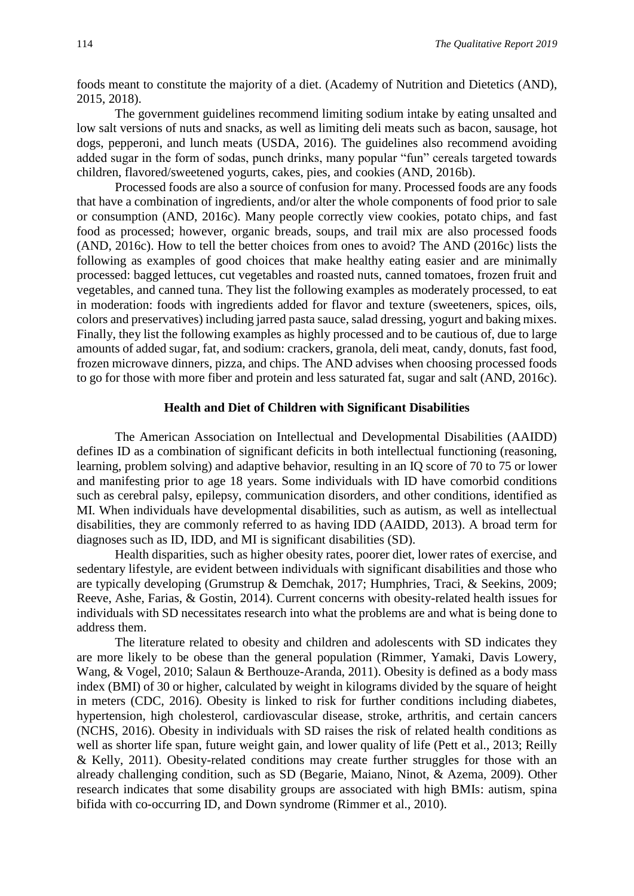foods meant to constitute the majority of a diet. (Academy of Nutrition and Dietetics (AND), 2015, 2018).

The government guidelines recommend limiting sodium intake by eating unsalted and low salt versions of nuts and snacks, as well as limiting deli meats such as bacon, sausage, hot dogs, pepperoni, and lunch meats (USDA, 2016). The guidelines also recommend avoiding added sugar in the form of sodas, punch drinks, many popular "fun" cereals targeted towards children, flavored/sweetened yogurts, cakes, pies, and cookies (AND, 2016b).

Processed foods are also a source of confusion for many. Processed foods are any foods that have a combination of ingredients, and/or alter the whole components of food prior to sale or consumption (AND, 2016c). Many people correctly view cookies, potato chips, and fast food as processed; however, organic breads, soups, and trail mix are also processed foods (AND, 2016c). How to tell the better choices from ones to avoid? The AND (2016c) lists the following as examples of good choices that make healthy eating easier and are minimally processed: bagged lettuces, cut vegetables and roasted nuts, canned tomatoes, frozen fruit and vegetables, and canned tuna. They list the following examples as moderately processed, to eat in moderation: foods with ingredients added for flavor and texture (sweeteners, spices, oils, colors and preservatives) including jarred pasta sauce, salad dressing, yogurt and baking mixes. Finally, they list the following examples as highly processed and to be cautious of, due to large amounts of added sugar, fat, and sodium: crackers, granola, deli meat, candy, donuts, fast food, frozen microwave dinners, pizza, and chips. The AND advises when choosing processed foods to go for those with more fiber and protein and less saturated fat, sugar and salt (AND, 2016c).

#### **Health and Diet of Children with Significant Disabilities**

The American Association on Intellectual and Developmental Disabilities (AAIDD) defines ID as a combination of significant deficits in both intellectual functioning (reasoning, learning, problem solving) and adaptive behavior, resulting in an IQ score of 70 to 75 or lower and manifesting prior to age 18 years. Some individuals with ID have comorbid conditions such as cerebral palsy, epilepsy, communication disorders, and other conditions, identified as MI. When individuals have developmental disabilities, such as autism, as well as intellectual disabilities, they are commonly referred to as having IDD (AAIDD, 2013). A broad term for diagnoses such as ID, IDD, and MI is significant disabilities (SD).

Health disparities, such as higher obesity rates, poorer diet, lower rates of exercise, and sedentary lifestyle, are evident between individuals with significant disabilities and those who are typically developing (Grumstrup & Demchak, 2017; Humphries, Traci, & Seekins, 2009; Reeve, Ashe, Farias, & Gostin, 2014). Current concerns with obesity-related health issues for individuals with SD necessitates research into what the problems are and what is being done to address them.

The literature related to obesity and children and adolescents with SD indicates they are more likely to be obese than the general population (Rimmer, Yamaki, Davis Lowery, Wang, & Vogel, 2010; Salaun & Berthouze-Aranda, 2011). Obesity is defined as a body mass index (BMI) of 30 or higher, calculated by weight in kilograms divided by the square of height in meters (CDC, 2016). Obesity is linked to risk for further conditions including diabetes, hypertension, high cholesterol, cardiovascular disease, stroke, arthritis, and certain cancers (NCHS, 2016). Obesity in individuals with SD raises the risk of related health conditions as well as shorter life span, future weight gain, and lower quality of life (Pett et al., 2013; Reilly & Kelly, 2011). Obesity-related conditions may create further struggles for those with an already challenging condition, such as SD (Begarie, Maiano, Ninot, & Azema, 2009). Other research indicates that some disability groups are associated with high BMIs: autism, spina bifida with co-occurring ID, and Down syndrome (Rimmer et al., 2010).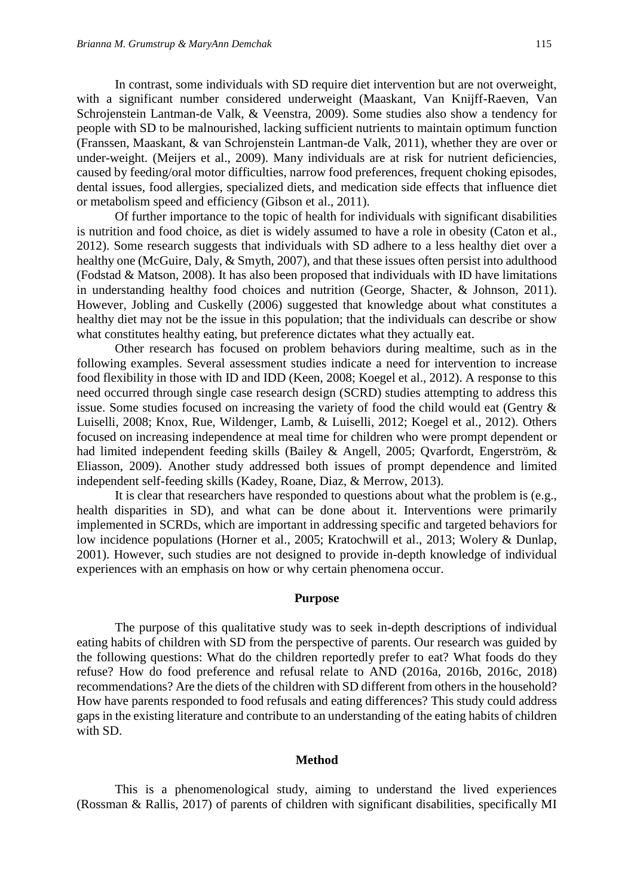In contrast, some individuals with SD require diet intervention but are not overweight, with a significant number considered underweight (Maaskant, Van Knijff-Raeven, Van Schrojenstein Lantman-de Valk, & Veenstra, 2009). Some studies also show a tendency for people with SD to be malnourished, lacking sufficient nutrients to maintain optimum function (Franssen, Maaskant, & van Schrojenstein Lantman-de Valk, 2011), whether they are over or under-weight. (Meijers et al., 2009). Many individuals are at risk for nutrient deficiencies, caused by feeding/oral motor difficulties, narrow food preferences, frequent choking episodes, dental issues, food allergies, specialized diets, and medication side effects that influence diet or metabolism speed and efficiency (Gibson et al., 2011).

Of further importance to the topic of health for individuals with significant disabilities is nutrition and food choice, as diet is widely assumed to have a role in obesity (Caton et al., 2012). Some research suggests that individuals with SD adhere to a less healthy diet over a healthy one (McGuire, Daly, & Smyth, 2007), and that these issues often persist into adulthood (Fodstad & Matson, 2008). It has also been proposed that individuals with ID have limitations in understanding healthy food choices and nutrition (George, Shacter, & Johnson, 2011). However, Jobling and Cuskelly (2006) suggested that knowledge about what constitutes a healthy diet may not be the issue in this population; that the individuals can describe or show what constitutes healthy eating, but preference dictates what they actually eat.

Other research has focused on problem behaviors during mealtime, such as in the following examples. Several assessment studies indicate a need for intervention to increase food flexibility in those with ID and IDD (Keen, 2008; Koegel et al., 2012). A response to this need occurred through single case research design (SCRD) studies attempting to address this issue. Some studies focused on increasing the variety of food the child would eat (Gentry & Luiselli, 2008; Knox, Rue, Wildenger, Lamb, & Luiselli, 2012; Koegel et al., 2012). Others focused on increasing independence at meal time for children who were prompt dependent or had limited independent feeding skills (Bailey & Angell, 2005; Qvarfordt, Engerström, & Eliasson, 2009). Another study addressed both issues of prompt dependence and limited independent self-feeding skills (Kadey, Roane, Diaz, & Merrow, 2013).

It is clear that researchers have responded to questions about what the problem is (e.g., health disparities in SD), and what can be done about it. Interventions were primarily implemented in SCRDs, which are important in addressing specific and targeted behaviors for low incidence populations (Horner et al., 2005; Kratochwill et al., 2013; Wolery & Dunlap, 2001). However, such studies are not designed to provide in-depth knowledge of individual experiences with an emphasis on how or why certain phenomena occur.

#### **Purpose**

The purpose of this qualitative study was to seek in-depth descriptions of individual eating habits of children with SD from the perspective of parents. Our research was guided by the following questions: What do the children reportedly prefer to eat? What foods do they refuse? How do food preference and refusal relate to AND (2016a, 2016b, 2016c, 2018) recommendations? Are the diets of the children with SD different from others in the household? How have parents responded to food refusals and eating differences? This study could address gaps in the existing literature and contribute to an understanding of the eating habits of children with SD.

#### **Method**

This is a phenomenological study, aiming to understand the lived experiences (Rossman & Rallis, 2017) of parents of children with significant disabilities, specifically MI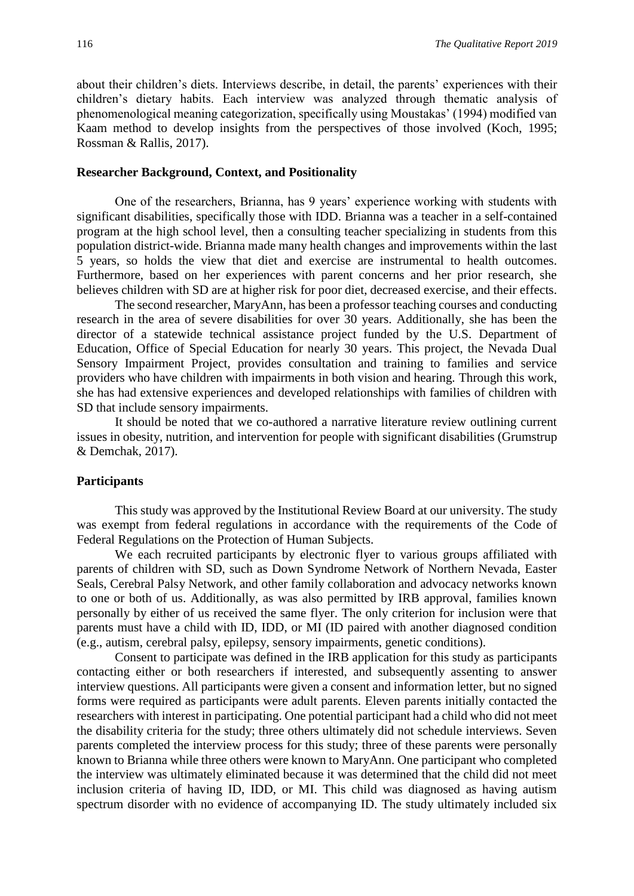about their children's diets. Interviews describe, in detail, the parents' experiences with their children's dietary habits. Each interview was analyzed through thematic analysis of phenomenological meaning categorization, specifically using Moustakas' (1994) modified van Kaam method to develop insights from the perspectives of those involved (Koch, 1995; Rossman & Rallis, 2017).

#### **Researcher Background, Context, and Positionality**

One of the researchers, Brianna, has 9 years' experience working with students with significant disabilities, specifically those with IDD. Brianna was a teacher in a self-contained program at the high school level, then a consulting teacher specializing in students from this population district-wide. Brianna made many health changes and improvements within the last 5 years, so holds the view that diet and exercise are instrumental to health outcomes. Furthermore, based on her experiences with parent concerns and her prior research, she believes children with SD are at higher risk for poor diet, decreased exercise, and their effects.

The second researcher, MaryAnn, has been a professor teaching courses and conducting research in the area of severe disabilities for over 30 years. Additionally, she has been the director of a statewide technical assistance project funded by the U.S. Department of Education, Office of Special Education for nearly 30 years. This project, the Nevada Dual Sensory Impairment Project, provides consultation and training to families and service providers who have children with impairments in both vision and hearing. Through this work, she has had extensive experiences and developed relationships with families of children with SD that include sensory impairments.

It should be noted that we co-authored a narrative literature review outlining current issues in obesity, nutrition, and intervention for people with significant disabilities (Grumstrup & Demchak, 2017).

#### **Participants**

This study was approved by the Institutional Review Board at our university. The study was exempt from federal regulations in accordance with the requirements of the Code of Federal Regulations on the Protection of Human Subjects.

We each recruited participants by electronic flyer to various groups affiliated with parents of children with SD, such as Down Syndrome Network of Northern Nevada, Easter Seals, Cerebral Palsy Network, and other family collaboration and advocacy networks known to one or both of us. Additionally, as was also permitted by IRB approval, families known personally by either of us received the same flyer. The only criterion for inclusion were that parents must have a child with ID, IDD, or MI (ID paired with another diagnosed condition (e.g., autism, cerebral palsy, epilepsy, sensory impairments, genetic conditions).

Consent to participate was defined in the IRB application for this study as participants contacting either or both researchers if interested, and subsequently assenting to answer interview questions. All participants were given a consent and information letter, but no signed forms were required as participants were adult parents. Eleven parents initially contacted the researchers with interest in participating. One potential participant had a child who did not meet the disability criteria for the study; three others ultimately did not schedule interviews. Seven parents completed the interview process for this study; three of these parents were personally known to Brianna while three others were known to MaryAnn. One participant who completed the interview was ultimately eliminated because it was determined that the child did not meet inclusion criteria of having ID, IDD, or MI. This child was diagnosed as having autism spectrum disorder with no evidence of accompanying ID. The study ultimately included six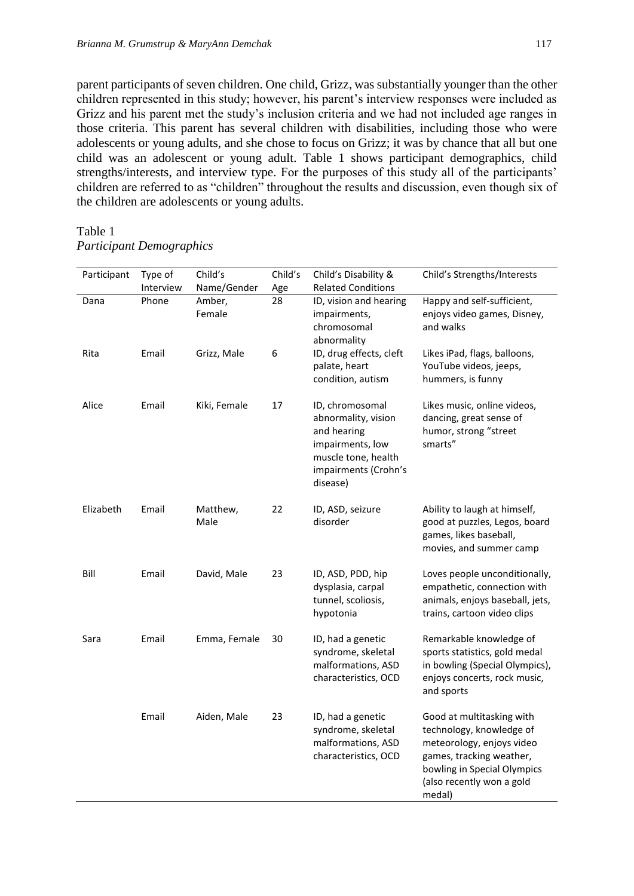parent participants of seven children. One child, Grizz, was substantially younger than the other children represented in this study; however, his parent's interview responses were included as Grizz and his parent met the study's inclusion criteria and we had not included age ranges in those criteria. This parent has several children with disabilities, including those who were adolescents or young adults, and she chose to focus on Grizz; it was by chance that all but one child was an adolescent or young adult. Table 1 shows participant demographics, child strengths/interests, and interview type. For the purposes of this study all of the participants' children are referred to as "children" throughout the results and discussion, even though six of the children are adolescents or young adults.

#### Table 1 *Participant Demographics*

| Participant | Type of<br>Interview | Child's<br>Name/Gender | Child's<br>Age | Child's Disability &<br><b>Related Conditions</b>                                                                                    | Child's Strengths/Interests                                                                                                                                                          |
|-------------|----------------------|------------------------|----------------|--------------------------------------------------------------------------------------------------------------------------------------|--------------------------------------------------------------------------------------------------------------------------------------------------------------------------------------|
| Dana        | Phone                | Amber,<br>Female       | 28             | ID, vision and hearing<br>impairments,<br>chromosomal<br>abnormality                                                                 | Happy and self-sufficient,<br>enjoys video games, Disney,<br>and walks                                                                                                               |
| Rita        | Email                | Grizz, Male            | 6              | ID, drug effects, cleft<br>palate, heart<br>condition, autism                                                                        | Likes iPad, flags, balloons,<br>YouTube videos, jeeps,<br>hummers, is funny                                                                                                          |
| Alice       | Email                | Kiki, Female           | 17             | ID, chromosomal<br>abnormality, vision<br>and hearing<br>impairments, low<br>muscle tone, health<br>impairments (Crohn's<br>disease) | Likes music, online videos,<br>dancing, great sense of<br>humor, strong "street<br>smarts"                                                                                           |
| Elizabeth   | Email                | Matthew,<br>Male       | 22             | ID, ASD, seizure<br>disorder                                                                                                         | Ability to laugh at himself,<br>good at puzzles, Legos, board<br>games, likes baseball,<br>movies, and summer camp                                                                   |
| Bill        | Email                | David, Male            | 23             | ID, ASD, PDD, hip<br>dysplasia, carpal<br>tunnel, scoliosis,<br>hypotonia                                                            | Loves people unconditionally,<br>empathetic, connection with<br>animals, enjoys baseball, jets,<br>trains, cartoon video clips                                                       |
| Sara        | Email                | Emma, Female           | 30             | ID, had a genetic<br>syndrome, skeletal<br>malformations, ASD<br>characteristics, OCD                                                | Remarkable knowledge of<br>sports statistics, gold medal<br>in bowling (Special Olympics),<br>enjoys concerts, rock music,<br>and sports                                             |
|             | Email                | Aiden, Male            | 23             | ID, had a genetic<br>syndrome, skeletal<br>malformations, ASD<br>characteristics, OCD                                                | Good at multitasking with<br>technology, knowledge of<br>meteorology, enjoys video<br>games, tracking weather,<br>bowling in Special Olympics<br>(also recently won a gold<br>medal) |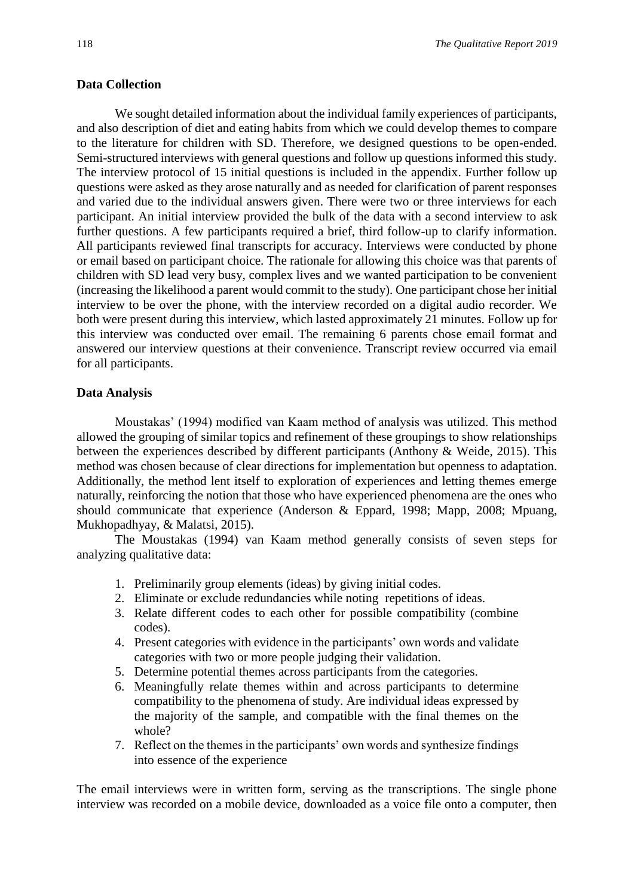#### **Data Collection**

We sought detailed information about the individual family experiences of participants, and also description of diet and eating habits from which we could develop themes to compare to the literature for children with SD. Therefore, we designed questions to be open-ended. Semi-structured interviews with general questions and follow up questions informed this study. The interview protocol of 15 initial questions is included in the appendix. Further follow up questions were asked as they arose naturally and as needed for clarification of parent responses and varied due to the individual answers given. There were two or three interviews for each participant. An initial interview provided the bulk of the data with a second interview to ask further questions. A few participants required a brief, third follow-up to clarify information. All participants reviewed final transcripts for accuracy. Interviews were conducted by phone or email based on participant choice. The rationale for allowing this choice was that parents of children with SD lead very busy, complex lives and we wanted participation to be convenient (increasing the likelihood a parent would commit to the study). One participant chose her initial interview to be over the phone, with the interview recorded on a digital audio recorder. We both were present during this interview, which lasted approximately 21 minutes. Follow up for this interview was conducted over email. The remaining 6 parents chose email format and answered our interview questions at their convenience. Transcript review occurred via email for all participants.

#### **Data Analysis**

Moustakas' (1994) modified van Kaam method of analysis was utilized. This method allowed the grouping of similar topics and refinement of these groupings to show relationships between the experiences described by different participants (Anthony & Weide, 2015). This method was chosen because of clear directions for implementation but openness to adaptation. Additionally, the method lent itself to exploration of experiences and letting themes emerge naturally, reinforcing the notion that those who have experienced phenomena are the ones who should communicate that experience (Anderson & Eppard, 1998; Mapp, 2008; Mpuang, Mukhopadhyay, & Malatsi, 2015).

The Moustakas (1994) van Kaam method generally consists of seven steps for analyzing qualitative data:

- 1. Preliminarily group elements (ideas) by giving initial codes.
- 2. Eliminate or exclude redundancies while noting repetitions of ideas.
- 3. Relate different codes to each other for possible compatibility (combine codes).
- 4. Present categories with evidence in the participants' own words and validate categories with two or more people judging their validation.
- 5. Determine potential themes across participants from the categories.
- 6. Meaningfully relate themes within and across participants to determine compatibility to the phenomena of study. Are individual ideas expressed by the majority of the sample, and compatible with the final themes on the whole?
- 7. Reflect on the themes in the participants' own words and synthesize findings into essence of the experience

The email interviews were in written form, serving as the transcriptions. The single phone interview was recorded on a mobile device, downloaded as a voice file onto a computer, then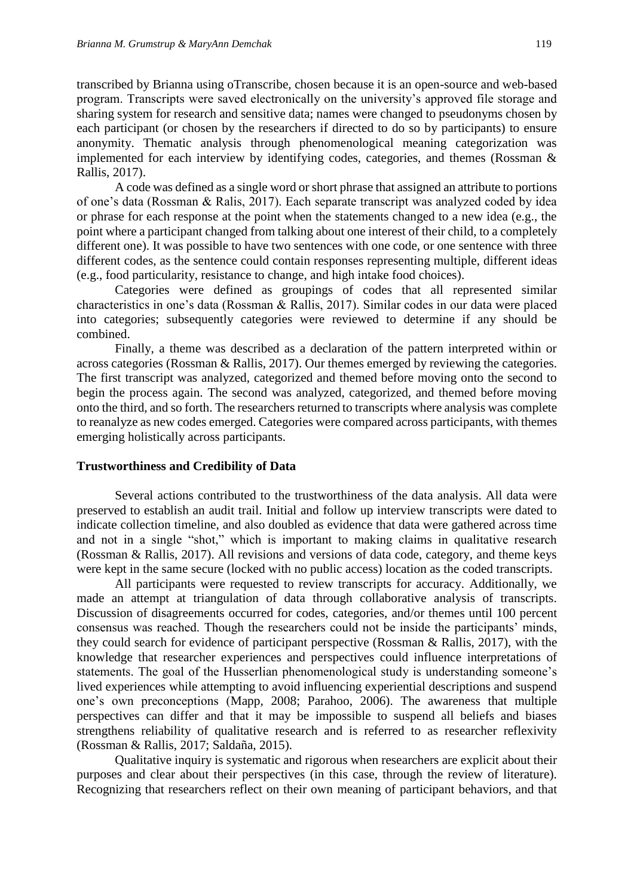transcribed by Brianna using oTranscribe, chosen because it is an open-source and web-based program. Transcripts were saved electronically on the university's approved file storage and sharing system for research and sensitive data; names were changed to pseudonyms chosen by each participant (or chosen by the researchers if directed to do so by participants) to ensure anonymity. Thematic analysis through phenomenological meaning categorization was implemented for each interview by identifying codes, categories, and themes (Rossman & Rallis, 2017).

A code was defined as a single word or short phrase that assigned an attribute to portions of one's data (Rossman & Ralis, 2017). Each separate transcript was analyzed coded by idea or phrase for each response at the point when the statements changed to a new idea (e.g., the point where a participant changed from talking about one interest of their child, to a completely different one). It was possible to have two sentences with one code, or one sentence with three different codes, as the sentence could contain responses representing multiple, different ideas (e.g., food particularity, resistance to change, and high intake food choices).

Categories were defined as groupings of codes that all represented similar characteristics in one's data (Rossman & Rallis, 2017). Similar codes in our data were placed into categories; subsequently categories were reviewed to determine if any should be combined.

Finally, a theme was described as a declaration of the pattern interpreted within or across categories (Rossman & Rallis, 2017). Our themes emerged by reviewing the categories. The first transcript was analyzed, categorized and themed before moving onto the second to begin the process again. The second was analyzed, categorized, and themed before moving onto the third, and so forth. The researchers returned to transcripts where analysis was complete to reanalyze as new codes emerged. Categories were compared across participants, with themes emerging holistically across participants.

#### **Trustworthiness and Credibility of Data**

Several actions contributed to the trustworthiness of the data analysis. All data were preserved to establish an audit trail. Initial and follow up interview transcripts were dated to indicate collection timeline, and also doubled as evidence that data were gathered across time and not in a single "shot," which is important to making claims in qualitative research (Rossman & Rallis, 2017). All revisions and versions of data code, category, and theme keys were kept in the same secure (locked with no public access) location as the coded transcripts.

All participants were requested to review transcripts for accuracy. Additionally, we made an attempt at triangulation of data through collaborative analysis of transcripts. Discussion of disagreements occurred for codes, categories, and/or themes until 100 percent consensus was reached. Though the researchers could not be inside the participants' minds, they could search for evidence of participant perspective (Rossman & Rallis, 2017), with the knowledge that researcher experiences and perspectives could influence interpretations of statements. The goal of the Husserlian phenomenological study is understanding someone's lived experiences while attempting to avoid influencing experiential descriptions and suspend one's own preconceptions (Mapp, 2008; Parahoo, 2006). The awareness that multiple perspectives can differ and that it may be impossible to suspend all beliefs and biases strengthens reliability of qualitative research and is referred to as researcher reflexivity (Rossman & Rallis, 2017; Saldaña, 2015).

Qualitative inquiry is systematic and rigorous when researchers are explicit about their purposes and clear about their perspectives (in this case, through the review of literature). Recognizing that researchers reflect on their own meaning of participant behaviors, and that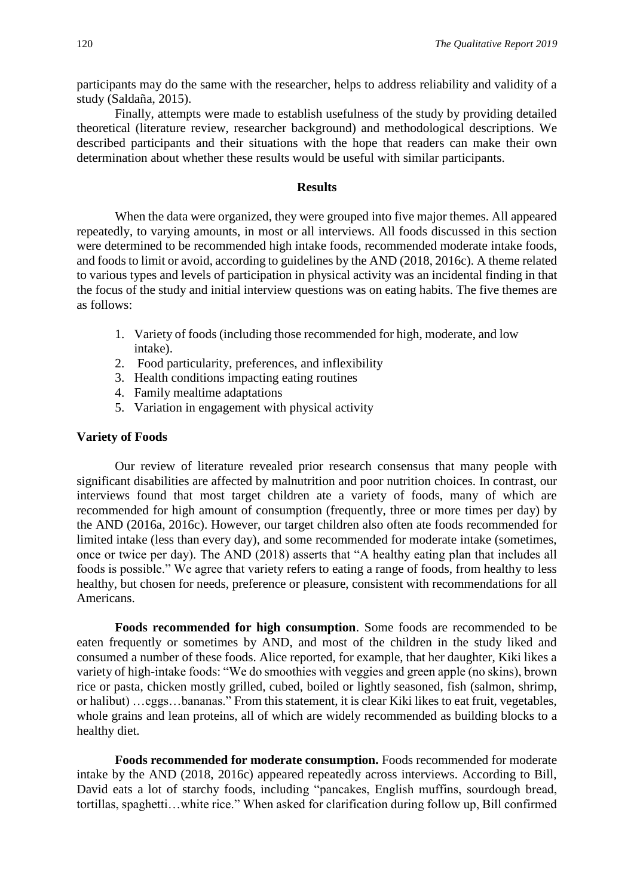participants may do the same with the researcher, helps to address reliability and validity of a study (Saldaña, 2015).

Finally, attempts were made to establish usefulness of the study by providing detailed theoretical (literature review, researcher background) and methodological descriptions. We described participants and their situations with the hope that readers can make their own determination about whether these results would be useful with similar participants.

#### **Results**

When the data were organized, they were grouped into five major themes. All appeared repeatedly, to varying amounts, in most or all interviews. All foods discussed in this section were determined to be recommended high intake foods, recommended moderate intake foods, and foods to limit or avoid, according to guidelines by the AND (2018, 2016c). A theme related to various types and levels of participation in physical activity was an incidental finding in that the focus of the study and initial interview questions was on eating habits. The five themes are as follows:

- 1. Variety of foods (including those recommended for high, moderate, and low intake).
- 2. Food particularity, preferences, and inflexibility
- 3. Health conditions impacting eating routines
- 4. Family mealtime adaptations
- 5. Variation in engagement with physical activity

#### **Variety of Foods**

Our review of literature revealed prior research consensus that many people with significant disabilities are affected by malnutrition and poor nutrition choices. In contrast, our interviews found that most target children ate a variety of foods, many of which are recommended for high amount of consumption (frequently, three or more times per day) by the AND (2016a, 2016c). However, our target children also often ate foods recommended for limited intake (less than every day), and some recommended for moderate intake (sometimes, once or twice per day). The AND (2018) asserts that "A healthy eating plan that includes all foods is possible." We agree that variety refers to eating a range of foods, from healthy to less healthy, but chosen for needs, preference or pleasure, consistent with recommendations for all Americans.

**Foods recommended for high consumption**. Some foods are recommended to be eaten frequently or sometimes by AND, and most of the children in the study liked and consumed a number of these foods. Alice reported, for example, that her daughter, Kiki likes a variety of high-intake foods: "We do smoothies with veggies and green apple (no skins), brown rice or pasta, chicken mostly grilled, cubed, boiled or lightly seasoned, fish (salmon, shrimp, or halibut) …eggs…bananas." From this statement, it is clear Kiki likes to eat fruit, vegetables, whole grains and lean proteins, all of which are widely recommended as building blocks to a healthy diet.

**Foods recommended for moderate consumption.** Foods recommended for moderate intake by the AND (2018, 2016c) appeared repeatedly across interviews. According to Bill, David eats a lot of starchy foods, including "pancakes, English muffins, sourdough bread, tortillas, spaghetti…white rice." When asked for clarification during follow up, Bill confirmed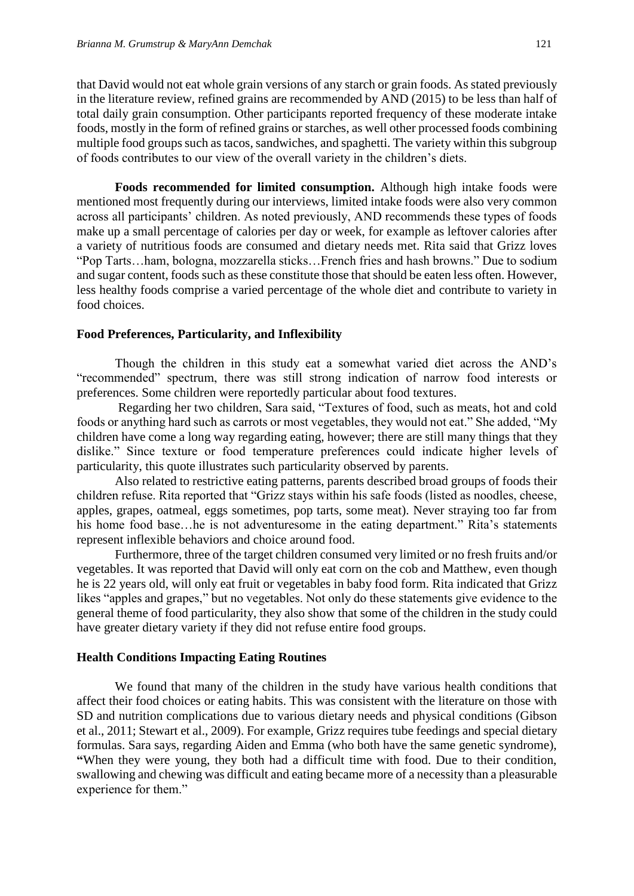that David would not eat whole grain versions of any starch or grain foods. As stated previously in the literature review, refined grains are recommended by AND (2015) to be less than half of total daily grain consumption. Other participants reported frequency of these moderate intake foods, mostly in the form of refined grains or starches, as well other processed foods combining multiple food groups such as tacos, sandwiches, and spaghetti. The variety within this subgroup of foods contributes to our view of the overall variety in the children's diets.

**Foods recommended for limited consumption.** Although high intake foods were mentioned most frequently during our interviews, limited intake foods were also very common across all participants' children. As noted previously, AND recommends these types of foods make up a small percentage of calories per day or week, for example as leftover calories after a variety of nutritious foods are consumed and dietary needs met. Rita said that Grizz loves "Pop Tarts…ham, bologna, mozzarella sticks…French fries and hash browns." Due to sodium and sugar content, foods such as these constitute those that should be eaten less often. However, less healthy foods comprise a varied percentage of the whole diet and contribute to variety in food choices.

#### **Food Preferences, Particularity, and Inflexibility**

Though the children in this study eat a somewhat varied diet across the AND's "recommended" spectrum, there was still strong indication of narrow food interests or preferences. Some children were reportedly particular about food textures.

Regarding her two children, Sara said, "Textures of food, such as meats, hot and cold foods or anything hard such as carrots or most vegetables, they would not eat." She added, "My children have come a long way regarding eating, however; there are still many things that they dislike." Since texture or food temperature preferences could indicate higher levels of particularity, this quote illustrates such particularity observed by parents.

Also related to restrictive eating patterns, parents described broad groups of foods their children refuse. Rita reported that "Grizz stays within his safe foods (listed as noodles, cheese, apples, grapes, oatmeal, eggs sometimes, pop tarts, some meat). Never straying too far from his home food base...he is not adventuresome in the eating department." Rita's statements represent inflexible behaviors and choice around food.

Furthermore, three of the target children consumed very limited or no fresh fruits and/or vegetables. It was reported that David will only eat corn on the cob and Matthew, even though he is 22 years old, will only eat fruit or vegetables in baby food form. Rita indicated that Grizz likes "apples and grapes," but no vegetables. Not only do these statements give evidence to the general theme of food particularity, they also show that some of the children in the study could have greater dietary variety if they did not refuse entire food groups.

#### **Health Conditions Impacting Eating Routines**

We found that many of the children in the study have various health conditions that affect their food choices or eating habits. This was consistent with the literature on those with SD and nutrition complications due to various dietary needs and physical conditions (Gibson et al., 2011; Stewart et al., 2009). For example, Grizz requires tube feedings and special dietary formulas. Sara says, regarding Aiden and Emma (who both have the same genetic syndrome), **"**When they were young, they both had a difficult time with food. Due to their condition, swallowing and chewing was difficult and eating became more of a necessity than a pleasurable experience for them."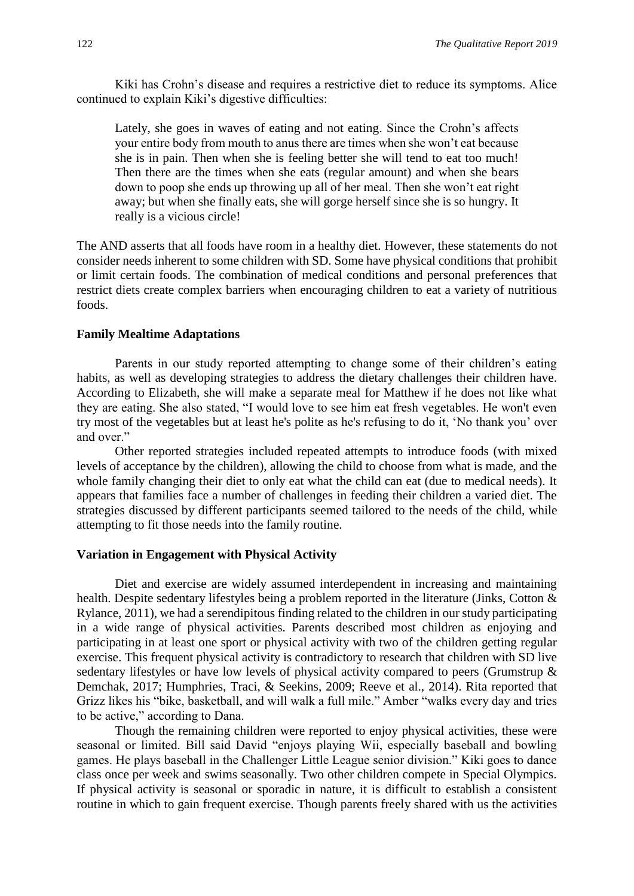Kiki has Crohn's disease and requires a restrictive diet to reduce its symptoms. Alice continued to explain Kiki's digestive difficulties:

Lately, she goes in waves of eating and not eating. Since the Crohn's affects your entire body from mouth to anus there are times when she won't eat because she is in pain. Then when she is feeling better she will tend to eat too much! Then there are the times when she eats (regular amount) and when she bears down to poop she ends up throwing up all of her meal. Then she won't eat right away; but when she finally eats, she will gorge herself since she is so hungry. It really is a vicious circle!

The AND asserts that all foods have room in a healthy diet. However, these statements do not consider needs inherent to some children with SD. Some have physical conditions that prohibit or limit certain foods. The combination of medical conditions and personal preferences that restrict diets create complex barriers when encouraging children to eat a variety of nutritious foods.

#### **Family Mealtime Adaptations**

Parents in our study reported attempting to change some of their children's eating habits, as well as developing strategies to address the dietary challenges their children have. According to Elizabeth, she will make a separate meal for Matthew if he does not like what they are eating. She also stated, "I would love to see him eat fresh vegetables. He won't even try most of the vegetables but at least he's polite as he's refusing to do it, 'No thank you' over and over."

Other reported strategies included repeated attempts to introduce foods (with mixed levels of acceptance by the children), allowing the child to choose from what is made, and the whole family changing their diet to only eat what the child can eat (due to medical needs). It appears that families face a number of challenges in feeding their children a varied diet. The strategies discussed by different participants seemed tailored to the needs of the child, while attempting to fit those needs into the family routine.

#### **Variation in Engagement with Physical Activity**

Diet and exercise are widely assumed interdependent in increasing and maintaining health. Despite sedentary lifestyles being a problem reported in the literature (Jinks, Cotton & Rylance, 2011), we had a serendipitous finding related to the children in our study participating in a wide range of physical activities. Parents described most children as enjoying and participating in at least one sport or physical activity with two of the children getting regular exercise. This frequent physical activity is contradictory to research that children with SD live sedentary lifestyles or have low levels of physical activity compared to peers (Grumstrup & Demchak, 2017; Humphries, Traci, & Seekins, 2009; Reeve et al., 2014). Rita reported that Grizz likes his "bike, basketball, and will walk a full mile." Amber "walks every day and tries to be active," according to Dana.

Though the remaining children were reported to enjoy physical activities, these were seasonal or limited. Bill said David "enjoys playing Wii, especially baseball and bowling games. He plays baseball in the Challenger Little League senior division." Kiki goes to dance class once per week and swims seasonally. Two other children compete in Special Olympics. If physical activity is seasonal or sporadic in nature, it is difficult to establish a consistent routine in which to gain frequent exercise. Though parents freely shared with us the activities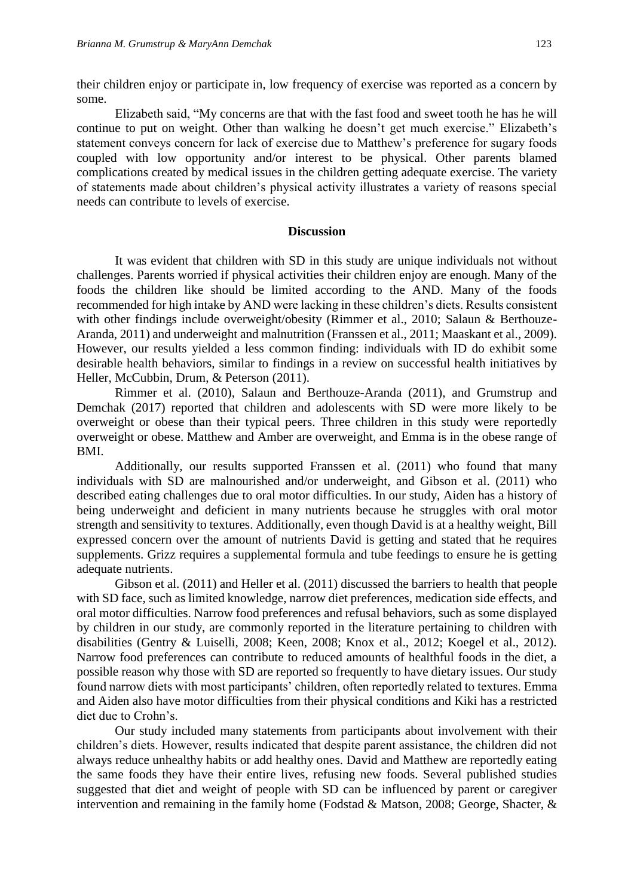their children enjoy or participate in, low frequency of exercise was reported as a concern by some.

Elizabeth said, "My concerns are that with the fast food and sweet tooth he has he will continue to put on weight. Other than walking he doesn't get much exercise." Elizabeth's statement conveys concern for lack of exercise due to Matthew's preference for sugary foods coupled with low opportunity and/or interest to be physical. Other parents blamed complications created by medical issues in the children getting adequate exercise. The variety of statements made about children's physical activity illustrates a variety of reasons special needs can contribute to levels of exercise.

#### **Discussion**

It was evident that children with SD in this study are unique individuals not without challenges. Parents worried if physical activities their children enjoy are enough. Many of the foods the children like should be limited according to the AND. Many of the foods recommended for high intake by AND were lacking in these children's diets. Results consistent with other findings include overweight/obesity (Rimmer et al., 2010; Salaun & Berthouze-Aranda, 2011) and underweight and malnutrition (Franssen et al., 2011; Maaskant et al., 2009). However, our results yielded a less common finding: individuals with ID do exhibit some desirable health behaviors, similar to findings in a review on successful health initiatives by Heller, McCubbin, Drum, & Peterson (2011).

Rimmer et al. (2010), Salaun and Berthouze-Aranda (2011), and Grumstrup and Demchak (2017) reported that children and adolescents with SD were more likely to be overweight or obese than their typical peers. Three children in this study were reportedly overweight or obese. Matthew and Amber are overweight, and Emma is in the obese range of BMI.

Additionally, our results supported Franssen et al. (2011) who found that many individuals with SD are malnourished and/or underweight, and Gibson et al. (2011) who described eating challenges due to oral motor difficulties. In our study, Aiden has a history of being underweight and deficient in many nutrients because he struggles with oral motor strength and sensitivity to textures. Additionally, even though David is at a healthy weight, Bill expressed concern over the amount of nutrients David is getting and stated that he requires supplements. Grizz requires a supplemental formula and tube feedings to ensure he is getting adequate nutrients.

Gibson et al. (2011) and Heller et al. (2011) discussed the barriers to health that people with SD face, such as limited knowledge, narrow diet preferences, medication side effects, and oral motor difficulties. Narrow food preferences and refusal behaviors, such as some displayed by children in our study, are commonly reported in the literature pertaining to children with disabilities (Gentry & Luiselli, 2008; Keen, 2008; Knox et al., 2012; Koegel et al., 2012). Narrow food preferences can contribute to reduced amounts of healthful foods in the diet, a possible reason why those with SD are reported so frequently to have dietary issues. Our study found narrow diets with most participants' children, often reportedly related to textures. Emma and Aiden also have motor difficulties from their physical conditions and Kiki has a restricted diet due to Crohn's.

Our study included many statements from participants about involvement with their children's diets. However, results indicated that despite parent assistance, the children did not always reduce unhealthy habits or add healthy ones. David and Matthew are reportedly eating the same foods they have their entire lives, refusing new foods. Several published studies suggested that diet and weight of people with SD can be influenced by parent or caregiver intervention and remaining in the family home (Fodstad & Matson, 2008; George, Shacter, &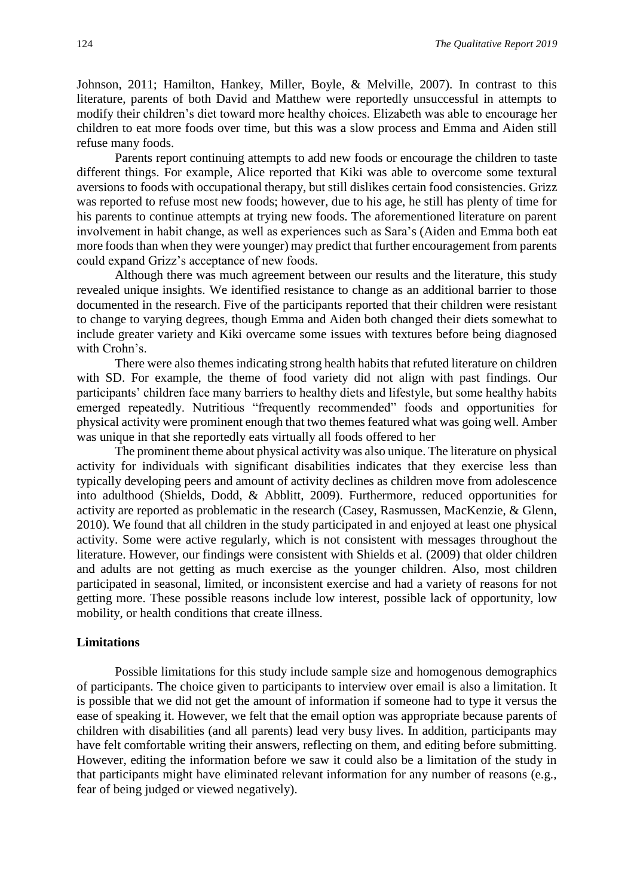Johnson, 2011; Hamilton, Hankey, Miller, Boyle, & Melville, 2007). In contrast to this literature, parents of both David and Matthew were reportedly unsuccessful in attempts to modify their children's diet toward more healthy choices. Elizabeth was able to encourage her children to eat more foods over time, but this was a slow process and Emma and Aiden still refuse many foods.

Parents report continuing attempts to add new foods or encourage the children to taste different things. For example, Alice reported that Kiki was able to overcome some textural aversions to foods with occupational therapy, but still dislikes certain food consistencies. Grizz was reported to refuse most new foods; however, due to his age, he still has plenty of time for his parents to continue attempts at trying new foods. The aforementioned literature on parent involvement in habit change, as well as experiences such as Sara's (Aiden and Emma both eat more foods than when they were younger) may predict that further encouragement from parents could expand Grizz's acceptance of new foods.

Although there was much agreement between our results and the literature, this study revealed unique insights. We identified resistance to change as an additional barrier to those documented in the research. Five of the participants reported that their children were resistant to change to varying degrees, though Emma and Aiden both changed their diets somewhat to include greater variety and Kiki overcame some issues with textures before being diagnosed with Crohn's.

There were also themes indicating strong health habits that refuted literature on children with SD. For example, the theme of food variety did not align with past findings. Our participants' children face many barriers to healthy diets and lifestyle, but some healthy habits emerged repeatedly. Nutritious "frequently recommended" foods and opportunities for physical activity were prominent enough that two themes featured what was going well. Amber was unique in that she reportedly eats virtually all foods offered to her

The prominent theme about physical activity was also unique. The literature on physical activity for individuals with significant disabilities indicates that they exercise less than typically developing peers and amount of activity declines as children move from adolescence into adulthood (Shields, Dodd, & Abblitt, 2009). Furthermore, reduced opportunities for activity are reported as problematic in the research (Casey, Rasmussen, MacKenzie, & Glenn, 2010). We found that all children in the study participated in and enjoyed at least one physical activity. Some were active regularly, which is not consistent with messages throughout the literature. However, our findings were consistent with Shields et al. (2009) that older children and adults are not getting as much exercise as the younger children. Also, most children participated in seasonal, limited, or inconsistent exercise and had a variety of reasons for not getting more. These possible reasons include low interest, possible lack of opportunity, low mobility, or health conditions that create illness.

#### **Limitations**

Possible limitations for this study include sample size and homogenous demographics of participants. The choice given to participants to interview over email is also a limitation. It is possible that we did not get the amount of information if someone had to type it versus the ease of speaking it. However, we felt that the email option was appropriate because parents of children with disabilities (and all parents) lead very busy lives. In addition, participants may have felt comfortable writing their answers, reflecting on them, and editing before submitting. However, editing the information before we saw it could also be a limitation of the study in that participants might have eliminated relevant information for any number of reasons (e.g., fear of being judged or viewed negatively).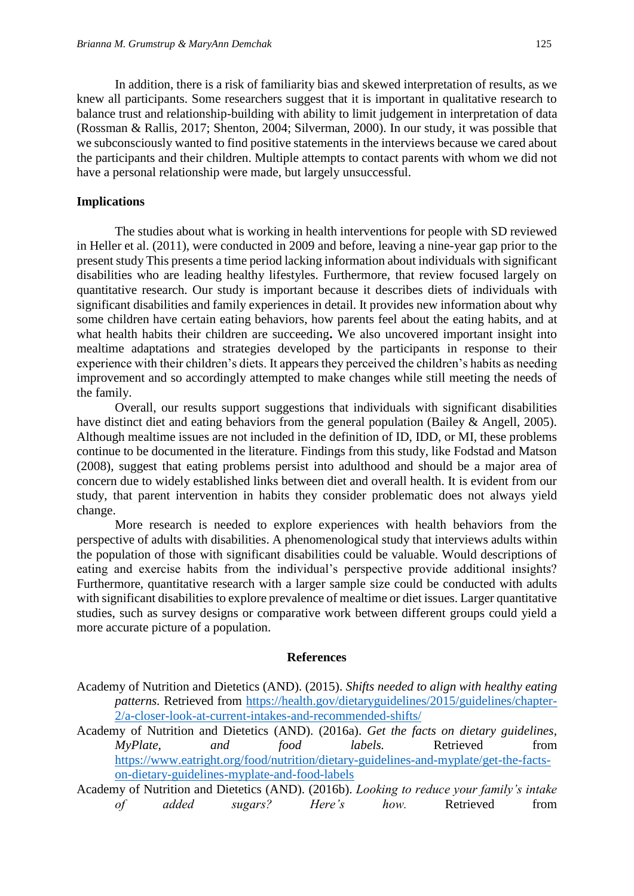In addition, there is a risk of familiarity bias and skewed interpretation of results, as we knew all participants. Some researchers suggest that it is important in qualitative research to balance trust and relationship-building with ability to limit judgement in interpretation of data (Rossman & Rallis, 2017; Shenton, 2004; Silverman, 2000). In our study, it was possible that we subconsciously wanted to find positive statements in the interviews because we cared about the participants and their children. Multiple attempts to contact parents with whom we did not have a personal relationship were made, but largely unsuccessful.

#### **Implications**

The studies about what is working in health interventions for people with SD reviewed in Heller et al. (2011), were conducted in 2009 and before, leaving a nine-year gap prior to the present study This presents a time period lacking information about individuals with significant disabilities who are leading healthy lifestyles. Furthermore, that review focused largely on quantitative research. Our study is important because it describes diets of individuals with significant disabilities and family experiences in detail. It provides new information about why some children have certain eating behaviors, how parents feel about the eating habits, and at what health habits their children are succeeding**.** We also uncovered important insight into mealtime adaptations and strategies developed by the participants in response to their experience with their children's diets. It appears they perceived the children's habits as needing improvement and so accordingly attempted to make changes while still meeting the needs of the family.

Overall, our results support suggestions that individuals with significant disabilities have distinct diet and eating behaviors from the general population (Bailey & Angell, 2005). Although mealtime issues are not included in the definition of ID, IDD, or MI, these problems continue to be documented in the literature. Findings from this study, like Fodstad and Matson (2008), suggest that eating problems persist into adulthood and should be a major area of concern due to widely established links between diet and overall health. It is evident from our study, that parent intervention in habits they consider problematic does not always yield change.

More research is needed to explore experiences with health behaviors from the perspective of adults with disabilities. A phenomenological study that interviews adults within the population of those with significant disabilities could be valuable. Would descriptions of eating and exercise habits from the individual's perspective provide additional insights? Furthermore, quantitative research with a larger sample size could be conducted with adults with significant disabilities to explore prevalence of mealtime or diet issues. Larger quantitative studies, such as survey designs or comparative work between different groups could yield a more accurate picture of a population.

#### **References**

- Academy of Nutrition and Dietetics (AND). (2015). *Shifts needed to align with healthy eating patterns.* Retrieved from [https://health.gov/dietaryguidelines/2015/guidelines/chapter-](https://health.gov/dietaryguidelines/2015/guidelines/chapter-2/a-closer-look-at-current-intakes-and-recommended-shifts/)[2/a-closer-look-at-current-intakes-and-recommended-shifts/](https://health.gov/dietaryguidelines/2015/guidelines/chapter-2/a-closer-look-at-current-intakes-and-recommended-shifts/)
- Academy of Nutrition and Dietetics (AND). (2016a). *Get the facts on dietary guidelines, MyPlate, and food labels.* Retrieved from [https://www.eatright.org/food/nutrition/dietary-guidelines-and-myplate/get-the-facts](https://www.eatright.org/food/nutrition/dietary-guidelines-and-myplate/get-the-facts-on-dietary-guidelines-myplate-and-food-labels)[on-dietary-guidelines-myplate-and-food-labels](https://www.eatright.org/food/nutrition/dietary-guidelines-and-myplate/get-the-facts-on-dietary-guidelines-myplate-and-food-labels)
- Academy of Nutrition and Dietetics (AND). (2016b). *Looking to reduce your family's intake of added sugars? Here's how.* Retrieved from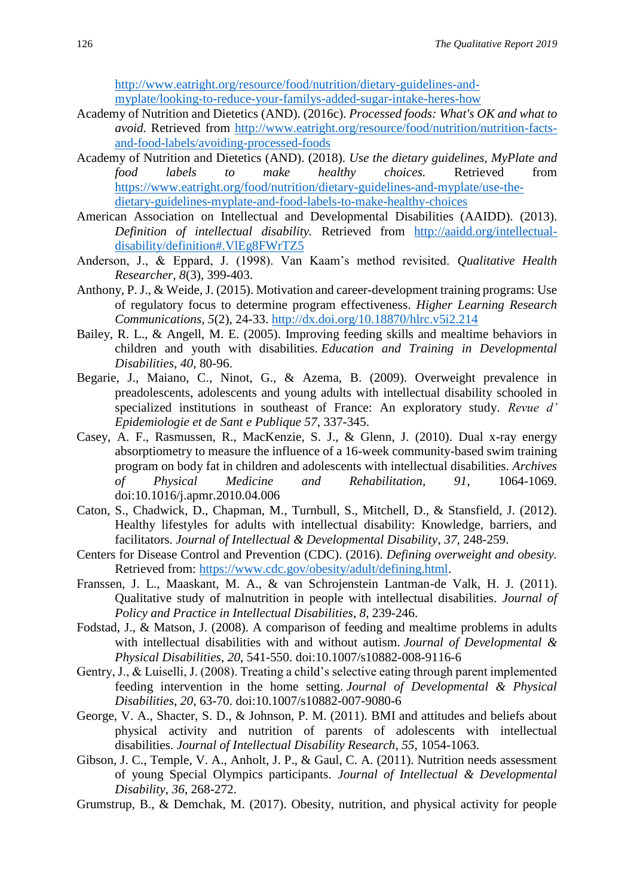[http://www.eatright.org/resource/food/nutrition/dietary-guidelines-and](http://www.eatright.org/resource/food/nutrition/dietary-guidelines-and-myplate/looking-to-reduce-your-familys-added-sugar-intake-heres-how)[myplate/looking-to-reduce-your-familys-added-sugar-intake-heres-how](http://www.eatright.org/resource/food/nutrition/dietary-guidelines-and-myplate/looking-to-reduce-your-familys-added-sugar-intake-heres-how)

- Academy of Nutrition and Dietetics (AND). (2016c). *Processed foods: What's OK and what to avoid.* Retrieved from [http://www.eatright.org/resource/food/nutrition/nutrition-facts](http://www.eatright.org/resource/food/nutrition/nutrition-facts-and-food-labels/avoiding-processed-foods)[and-food-labels/avoiding-processed-foods](http://www.eatright.org/resource/food/nutrition/nutrition-facts-and-food-labels/avoiding-processed-foods)
- Academy of Nutrition and Dietetics (AND). (2018). *Use the dietary guidelines, MyPlate and food labels to make healthy choices.* Retrieved from [https://www.eatright.org/food/nutrition/dietary-guidelines-and-myplate/use-the](https://www.eatright.org/food/nutrition/dietary-guidelines-and-myplate/use-the-dietary-guidelines-myplate-and-food-labels-to-make-healthy-choices)[dietary-guidelines-myplate-and-food-labels-to-make-healthy-choices](https://www.eatright.org/food/nutrition/dietary-guidelines-and-myplate/use-the-dietary-guidelines-myplate-and-food-labels-to-make-healthy-choices)
- American Association on Intellectual and Developmental Disabilities (AAIDD). (2013). *Definition of intellectual disability.* Retrieved from [http://aaidd.org/intellectual](http://aaidd.org/intellectual-disability/definition#.VlEg8FWrTZ5)[disability/definition#.VlEg8FWrTZ5](http://aaidd.org/intellectual-disability/definition#.VlEg8FWrTZ5)
- Anderson, J., & Eppard, J. (1998). Van Kaam's method revisited. *Qualitative Health Researcher, 8*(3), 399-403.
- Anthony, P. J., & Weide, J. (2015). Motivation and career-development training programs: Use of regulatory focus to determine program effectiveness. *Higher Learning Research Communications, 5*(2), 24-33.<http://dx.doi.org/10.18870/hlrc.v5i2.214>
- Bailey, R. L., & Angell, M. E. (2005). Improving feeding skills and mealtime behaviors in children and youth with disabilities. *Education and Training in Developmental Disabilities*, *40*, 80-96.
- Begarie, J., Maiano, C., Ninot, G., & Azema, B. (2009). Overweight prevalence in preadolescents, adolescents and young adults with intellectual disability schooled in specialized institutions in southeast of France: An exploratory study. *Revue d' Epidemiologie et de Sant e Publique 57*, 337-345.
- Casey, A. F., Rasmussen, R., MacKenzie, S. J., & Glenn, J. (2010). Dual x-ray energy absorptiometry to measure the influence of a 16-week community-based swim training program on body fat in children and adolescents with intellectual disabilities. *Archives of Physical Medicine and Rehabilitation, 91*, 1064-1069. doi:10.1016/j.apmr.2010.04.006
- Caton, S., Chadwick, D., Chapman, M., Turnbull, S., Mitchell, D., & Stansfield, J. (2012). Healthy lifestyles for adults with intellectual disability: Knowledge, barriers, and facilitators. *Journal of Intellectual & Developmental Disability*, *37*, 248-259.
- Centers for Disease Control and Prevention (CDC). (2016). *Defining overweight and obesity.*  Retrieved from: [https://www.cdc.gov/obesity/adult/defining.html.](https://www.cdc.gov/obesity/adult/defining.html)
- Franssen, J. L., Maaskant, M. A., & van Schrojenstein Lantman-de Valk, H. J. (2011). Qualitative study of malnutrition in people with intellectual disabilities. *Journal of Policy and Practice in Intellectual Disabilities*, *8*, 239-246.
- Fodstad, J., & Matson, J. (2008). A comparison of feeding and mealtime problems in adults with intellectual disabilities with and without autism. *Journal of Developmental & Physical Disabilities*, *20*, 541-550. doi:10.1007/s10882-008-9116-6
- Gentry, J., & Luiselli, J. (2008). Treating a child's selective eating through parent implemented feeding intervention in the home setting. *Journal of Developmental & Physical Disabilities*, *20*, 63-70. doi:10.1007/s10882-007-9080-6
- George, V. A., Shacter, S. D., & Johnson, P. M. (2011). BMI and attitudes and beliefs about physical activity and nutrition of parents of adolescents with intellectual disabilities. *Journal of Intellectual Disability Research*, *55*, 1054-1063.
- Gibson, J. C., Temple, V. A., Anholt, J. P., & Gaul, C. A. (2011). Nutrition needs assessment of young Special Olympics participants. *Journal of Intellectual & Developmental Disability*, *36*, 268-272.
- Grumstrup, B., & Demchak, M. (2017). Obesity, nutrition, and physical activity for people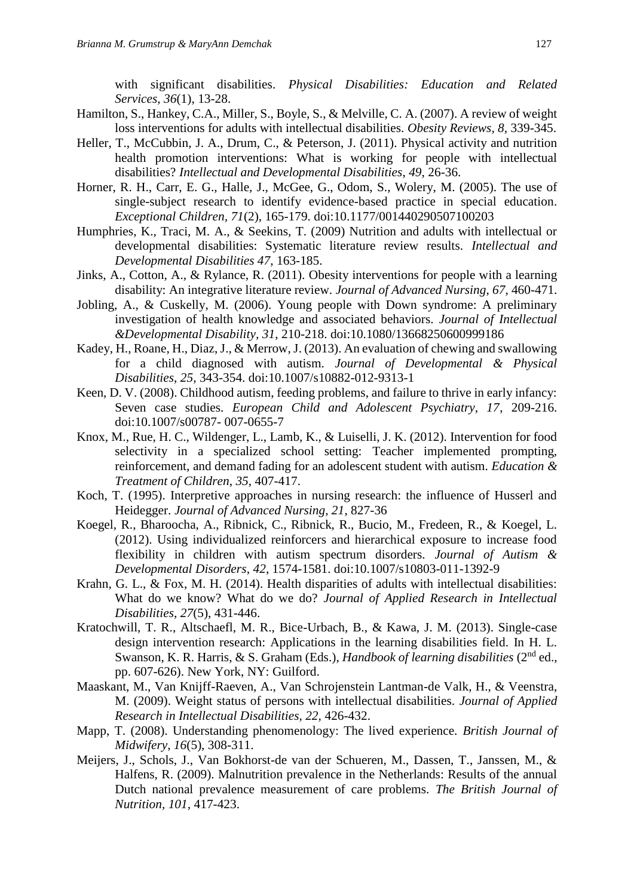with significant disabilities. *Physical Disabilities: Education and Related Services*, *36*(1), 13-28.

- Hamilton, S., Hankey, C.A., Miller, S., Boyle, S., & Melville, C. A. (2007). A review of weight loss interventions for adults with intellectual disabilities. *Obesity Reviews, 8,* 339-345.
- Heller, T., McCubbin, J. A., Drum, C., & Peterson, J. (2011). Physical activity and nutrition health promotion interventions: What is working for people with intellectual disabilities? *Intellectual and Developmental Disabilities*, *49*, 26-36.
- Horner, R. H., Carr, E. G., Halle, J., McGee, G., Odom, S., Wolery, M. (2005). The use of single-subject research to identify evidence-based practice in special education. *Exceptional Children, 71*(2), 165-179. doi:10.1177/001440290507100203
- Humphries, K., Traci, M. A., & Seekins, T. (2009) Nutrition and adults with intellectual or developmental disabilities: Systematic literature review results. *Intellectual and Developmental Disabilities 47*, 163-185.
- Jinks, A., Cotton, A., & Rylance, R. (2011). Obesity interventions for people with a learning disability: An integrative literature review. *Journal of Advanced Nursing*, *67*, 460-471.
- Jobling, A., & Cuskelly, M. (2006). Young people with Down syndrome: A preliminary investigation of health knowledge and associated behaviors. *Journal of Intellectual &Developmental Disability, 31*, 210-218. doi:10.1080/13668250600999186
- Kadey, H., Roane, H., Diaz, J., & Merrow, J. (2013). An evaluation of chewing and swallowing for a child diagnosed with autism. *Journal of Developmental & Physical Disabilities*, *25*, 343-354. doi:10.1007/s10882-012-9313-1
- Keen, D. V. (2008). Childhood autism, feeding problems, and failure to thrive in early infancy: Seven case studies. *European Child and Adolescent Psychiatry, 17*, 209-216. doi:10.1007/s00787- 007-0655-7
- Knox, M., Rue, H. C., Wildenger, L., Lamb, K., & Luiselli, J. K. (2012). Intervention for food selectivity in a specialized school setting: Teacher implemented prompting, reinforcement, and demand fading for an adolescent student with autism. *Education & Treatment of Children*, *35*, 407-417.
- Koch, T. (1995). Interpretive approaches in nursing research: the influence of Husserl and Heidegger. *Journal of Advanced Nursing, 21*, 827-36
- Koegel, R., Bharoocha, A., Ribnick, C., Ribnick, R., Bucio, M., Fredeen, R., & Koegel, L. (2012). Using individualized reinforcers and hierarchical exposure to increase food flexibility in children with autism spectrum disorders. *Journal of Autism & Developmental Disorders*, *42*, 1574-1581. doi:10.1007/s10803-011-1392-9
- Krahn, G. L., & Fox, M. H. (2014). Health disparities of adults with intellectual disabilities: What do we know? What do we do? *Journal of Applied Research in Intellectual Disabilities*, *27*(5), 431-446.
- Kratochwill, T. R., Altschaefl, M. R., Bice-Urbach, B., & Kawa, J. M. (2013). Single-case design intervention research: Applications in the learning disabilities field. In H. L. Swanson, K. R. Harris, & S. Graham (Eds.), *Handbook of learning disabilities* (2nd ed., pp. 607-626). New York, NY: Guilford.
- Maaskant, M., Van Knijff-Raeven, A., Van Schrojenstein Lantman-de Valk, H., & Veenstra, M. (2009). Weight status of persons with intellectual disabilities. *Journal of Applied Research in Intellectual Disabilities, 22,* 426-432.
- Mapp, T. (2008). Understanding phenomenology: The lived experience. *British Journal of Midwifery, 16*(5), 308-311.
- Meijers, J., Schols, J., Van Bokhorst-de van der Schueren, M., Dassen, T., Janssen, M., & Halfens, R. (2009). Malnutrition prevalence in the Netherlands: Results of the annual Dutch national prevalence measurement of care problems. *The British Journal of Nutrition, 101,* 417-423.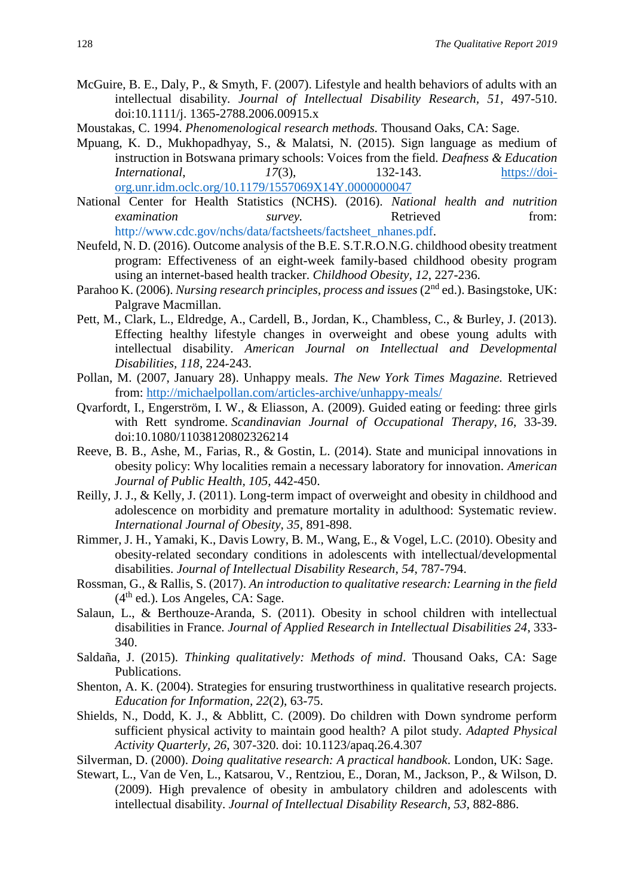- McGuire, B. E., Daly, P., & Smyth, F. (2007). Lifestyle and health behaviors of adults with an intellectual disability. *Journal of Intellectual Disability Research, 51*, 497-510. doi:10.1111/j. 1365-2788.2006.00915.x
- Moustakas, C. 1994. *Phenomenological research methods.* Thousand Oaks, CA: Sage.
- Mpuang, K. D., Mukhopadhyay, S., & Malatsi, N. (2015). Sign language as medium of instruction in Botswana primary schools: Voices from the field. *Deafness & Education International*, *17(3)*, 132-143. [https://doi](https://doi-org.unr.idm.oclc.org/10.1179/1557069X14Y.0000000047)[org.unr.idm.oclc.org/10.1179/1557069X14Y.0000000047](https://doi-org.unr.idm.oclc.org/10.1179/1557069X14Y.0000000047)
- National Center for Health Statistics (NCHS). (2016). *National health and nutrition examination survey.* Retrieved **heating heating from:** [http://www.cdc.gov/nchs/data/factsheets/factsheet\\_nhanes.pdf.](http://www.cdc.gov/nchs/data/factsheets/factsheet_nhanes.pdf)
- Neufeld, N. D. (2016). Outcome analysis of the B.E. S.T.R.O.N.G. childhood obesity treatment program: Effectiveness of an eight-week family-based childhood obesity program using an internet-based health tracker. *Childhood Obesity, 12*, 227-236.
- Parahoo K. (2006). *Nursing research principles, process and issues* (2<sup>nd</sup> ed.). Basingstoke, UK: Palgrave Macmillan.
- Pett, M., Clark, L., Eldredge, A., Cardell, B., Jordan, K., Chambless, C., & Burley, J. (2013). Effecting healthy lifestyle changes in overweight and obese young adults with intellectual disability. *American Journal on Intellectual and Developmental Disabilities, 118*, 224-243.
- Pollan, M. (2007, January 28). Unhappy meals. *The New York Times Magazine.* Retrieved from:<http://michaelpollan.com/articles-archive/unhappy-meals/>
- Qvarfordt, I., Engerström, I. W., & Eliasson, A. (2009). Guided eating or feeding: three girls with Rett syndrome. *Scandinavian Journal of Occupational Therapy*, *16*, 33-39. doi:10.1080/11038120802326214
- Reeve, B. B., Ashe, M., Farias, R., & Gostin, L. (2014). State and municipal innovations in obesity policy: Why localities remain a necessary laboratory for innovation. *American Journal of Public Health, 105*, 442-450.
- Reilly, J. J., & Kelly, J. (2011). Long-term impact of overweight and obesity in childhood and adolescence on morbidity and premature mortality in adulthood: Systematic review. *International Journal of Obesity, 35*, 891-898.
- Rimmer, J. H., Yamaki, K., Davis Lowry, B. M., Wang, E., & Vogel, L.C. (2010). Obesity and obesity-related secondary conditions in adolescents with intellectual/developmental disabilities. *Journal of Intellectual Disability Research*, *54*, 787-794.
- Rossman, G., & Rallis, S. (2017). *An introduction to qualitative research: Learning in the field*  $(4<sup>th</sup>$  ed.). Los Angeles, CA: Sage.
- Salaun, L., & Berthouze-Aranda, S. (2011). Obesity in school children with intellectual disabilities in France. *Journal of Applied Research in Intellectual Disabilities 24*, 333- 340.
- Saldaña, J. (2015). *Thinking qualitatively: Methods of mind*. Thousand Oaks, CA: Sage Publications.
- Shenton, A. K. (2004). Strategies for ensuring trustworthiness in qualitative research projects. *Education for Information, 22*(2), 63-75.
- Shields, N., Dodd, K. J., & Abblitt, C. (2009). Do children with Down syndrome perform sufficient physical activity to maintain good health? A pilot study. *Adapted Physical Activity Quarterly, 26*, 307-320. doi: 10.1123/apaq.26.4.307
- Silverman, D. (2000). *Doing qualitative research: A practical handbook*. London, UK: Sage.
- Stewart, L., Van de Ven, L., Katsarou, V., Rentziou, E., Doran, M., Jackson, P., & Wilson, D. (2009). High prevalence of obesity in ambulatory children and adolescents with intellectual disability. *Journal of Intellectual Disability Research, 53*, 882-886.